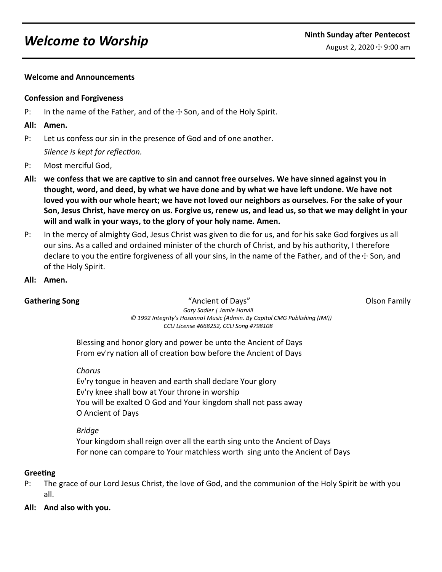## **Welcome and Announcements**

## **Confession and Forgiveness**

- P: In the name of the Father, and of the  $\pm$  Son, and of the Holy Spirit.
- **All: Amen.**
- P: Let us confess our sin in the presence of God and of one another.

*Silence is kept for reflection.*

- P: Most merciful God,
- **All: we confess that we are captive to sin and cannot free ourselves. We have sinned against you in thought, word, and deed, by what we have done and by what we have left undone. We have not loved you with our whole heart; we have not loved our neighbors as ourselves. For the sake of your Son, Jesus Christ, have mercy on us. Forgive us, renew us, and lead us, so that we may delight in your will and walk in your ways, to the glory of your holy name. Amen.**
- P: In the mercy of almighty God, Jesus Christ was given to die for us, and for his sake God forgives us all our sins. As a called and ordained minister of the church of Christ, and by his authority, I therefore declare to you the entire forgiveness of all your sins, in the name of the Father, and of the + Son, and of the Holy Spirit.
- **All: Amen.**

**Gathering Song The Contract of Days Accient of Days"** Colson Family Colson Family *Gary Sadler | Jamie Harvill © 1992 Integrity's Hosanna! Music (Admin. By Capitol CMG Publishing (IMI)) CCLI License #668252, CCLI Song #798108*

> Blessing and honor glory and power be unto the Ancient of Days From ev'ry nation all of creation bow before the Ancient of Days

### *Chorus*

Ev'ry tongue in heaven and earth shall declare Your glory Ev'ry knee shall bow at Your throne in worship You will be exalted O God and Your kingdom shall not pass away O Ancient of Days

## *Bridge*

Your kingdom shall reign over all the earth sing unto the Ancient of Days For none can compare to Your matchless worth sing unto the Ancient of Days

## **Greeting**

- P: The grace of our Lord Jesus Christ, the love of God, and the communion of the Holy Spirit be with you all.
- **All: And also with you.**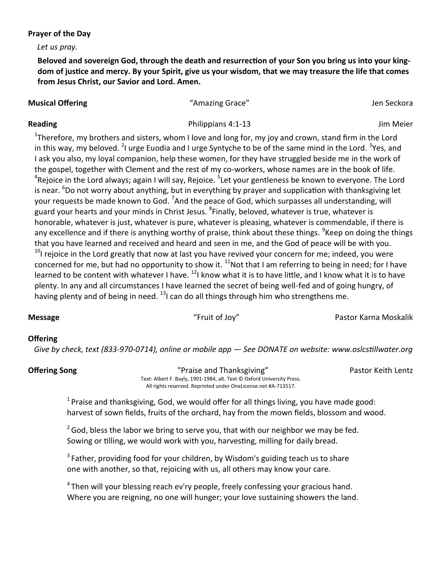## **Prayer of the Day**

*Let us pray.*

**Beloved and sovereign God, through the death and resurrection of your Son you bring us into your kingdom of justice and mercy. By your Spirit, give us your wisdom, that we may treasure the life that comes from Jesus Christ, our Savior and Lord. Amen.**

**Musical Offering The Contract Contract Contract Contract Contract Contract Contract Contract Contract Contract Contract Contract Contract Contract Contract Contract Contract Contract Contract Contract Contract Contract Co** 

# **Reading The Contract Contract Philippians 4:1-13** The Philippians 4:1-13 Jim Meier

<sup>1</sup>Therefore, my brothers and sisters, whom I love and long for, my joy and crown, stand firm in the Lord in this way, my beloved. <sup>2</sup>I urge Euodia and I urge Syntyche to be of the same mind in the Lord. <sup>3</sup>Yes, and I ask you also, my loyal companion, help these women, for they have struggled beside me in the work of the gospel, together with Clement and the rest of my co-workers, whose names are in the book of life. <sup>4</sup>Rejoice in the Lord always; again I will say, Rejoice. <sup>5</sup>Let your gentleness be known to everyone. The Lord is near. <sup>6</sup>Do not worry about anything, but in everything by prayer and supplication with thanksgiving let your requests be made known to God. <sup>7</sup>And the peace of God, which surpasses all understanding, will guard your hearts and your minds in Christ Jesus. <sup>8</sup>Finally, beloved, whatever is true, whatever is honorable, whatever is just, whatever is pure, whatever is pleasing, whatever is commendable, if there is any excellence and if there is anything worthy of praise, think about these things. <sup>9</sup>Keep on doing the things that you have learned and received and heard and seen in me, and the God of peace will be with you.  $10$ I rejoice in the Lord greatly that now at last you have revived your concern for me; indeed, you were concerned for me, but had no opportunity to show it.  $11$ Not that I am referring to being in need; for I have learned to be content with whatever I have.  $^{12}$ I know what it is to have little, and I know what it is to have plenty. In any and all circumstances I have learned the secret of being well-fed and of going hungry, of having plenty and of being in need.  $^{13}$ I can do all things through him who strengthens me.

**Message** "Fruit of Joy" Pastor Karna Moskalik

# **Offering**

 *Give by check, text (833-970-0714), online or mobile app — See DONATE on website: www.oslcstillwater.org*

**Offering Song** entitled that the "Praise and Thanksgiving" **Pastor Keith Lentz** Text: Albert F. Bayly, 1901-1984, alt. Text © Oxford University Press. All rights reserved. Reprinted under OneLicense.net #A-713517.

 $1$  Praise and thanksgiving, God, we would offer for all things living, you have made good: harvest of sown fields, fruits of the orchard, hay from the mown fields, blossom and wood.

 $2^{2}$  God, bless the labor we bring to serve you, that with our neighbor we may be fed. Sowing or tilling, we would work with you, harvesting, milling for daily bread.

 $3$  Father, providing food for your children, by Wisdom's guiding teach us to share one with another, so that, rejoicing with us, all others may know your care.

 $4$ Then will your blessing reach ev'ry people, freely confessing your gracious hand. Where you are reigning, no one will hunger; your love sustaining showers the land.